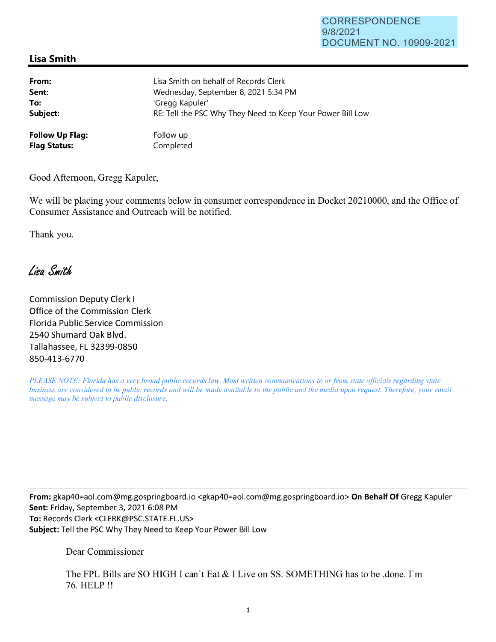## CORRESPONDENCE 9/8/2021 DOCUMENT NO. 10909-2021

## **Lisa Smith**

| From:                  | Lisa Smith on behalf of Records Clerk                      |
|------------------------|------------------------------------------------------------|
| Sent:                  | Wednesday, September 8, 2021 5:34 PM                       |
| To:                    | 'Gregg Kapuler'                                            |
| Subject:               | RE: Tell the PSC Why They Need to Keep Your Power Bill Low |
| <b>Follow Up Flag:</b> | Follow up                                                  |
| <b>Flag Status:</b>    | Completed                                                  |

Good Afternoon, Gregg Kapuler,

We will be placing your comments below in consumer correspondence in Docket 20210000, and the Office of Consumer Assistance and Outreach will be notified.

Thank you.

Lisa Smith

Commission Deputy Clerk I Office of the Commission Clerk Florida Public Service Commission 2540 Shumard Oak Blvd. Tallahassee, FL 32399-0850 850-413-6770

*PLEASE NOTE: Florida has a very broad public records law. Most written communications to or from state officials regarding state business are considered to be public records and will be made available to the public and the media upon request. Therefore, your email message may be subject to public disclosure.* 

**From:** gkap40=aol.com@mg.gospringboard.io <gkap40=ao1.com@mg.gospringboard.io> **On Behalf Of** Gregg Kapuler **Sent:** Friday, September 3, 2021 6:08 PM **To:** Records Clerk <CLERK@PSC.STATE.FL.US> **Subject:** Tell the PSC Why They Need to Keep Your Power Bill Low

Dear Commissioner

The FPL Bills are SO HIGH I can't Eat & I Live on SS. SOMETHING has to be .done. I'm 76. HELP !!